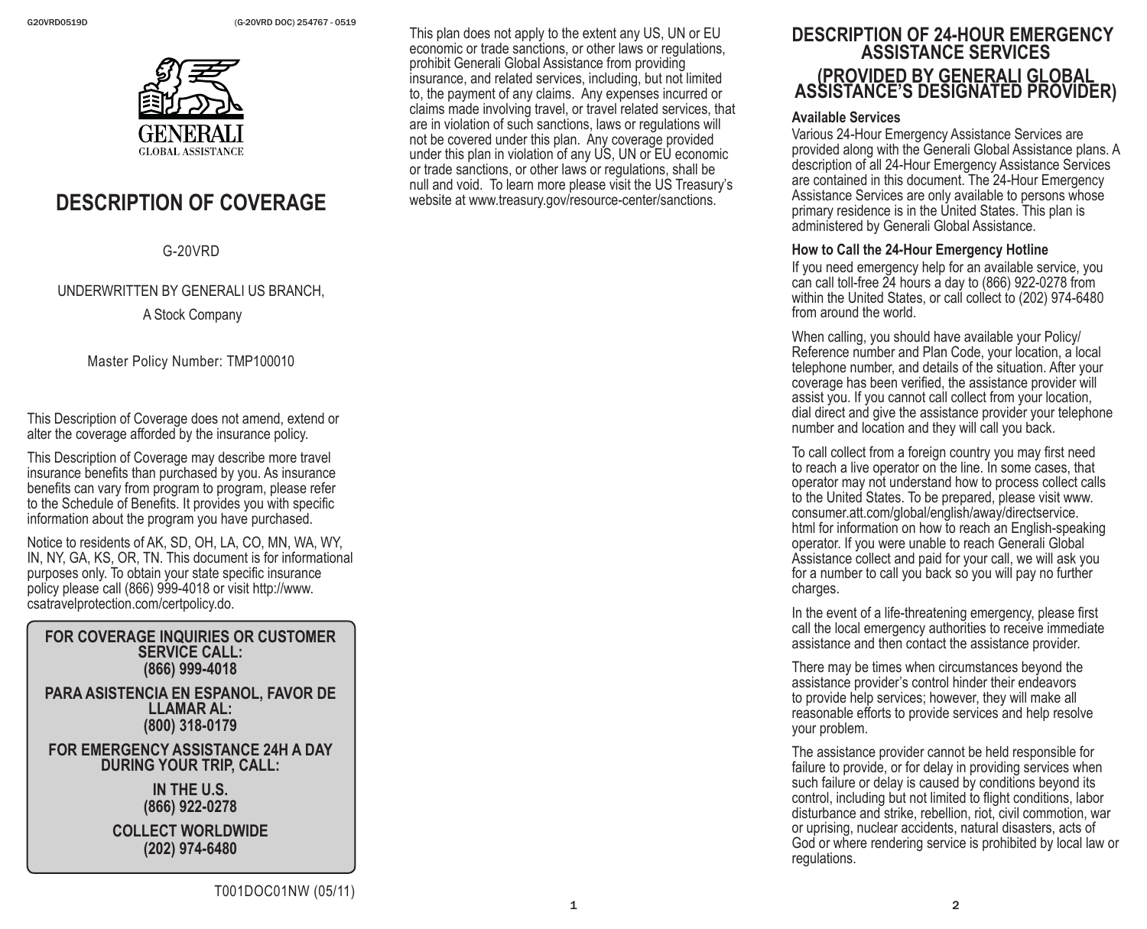

# **DESCRIPTION OF COVERAGE**

G-20VRD

## UNDERWRITTEN BY GENERALI US BRANCH,

A Stock Company

Master Policy Number: TMP100010

This Description of Coverage does not amend, extend or alter the coverage afforded by the insurance policy.

This Description of Coverage may describe more travel insurance benefits than purchased by you. As insurance benefits can vary from program to program, please refer to the Schedule of Benefits. It provides you with specific information about the program you have purchased.

Notice to residents of AK, SD, OH, LA, CO, MN, WA, WY, IN, NY, GA, KS, OR, TN. This document is for informational purposes only. To obtain your state specific insurance policy please call (866) 999-4018 or visit http://www. csatravelprotection.com/certpolicy.do.

#### **FOR COVERAGE INQUIRIES OR CUSTOMER SERVICE CALL: (866) 999-4018**

**PARA ASISTENCIA EN ESPANOL, FAVOR DE LLAMAR AL: (800) 318-0179**

#### **FOR EMERGENCY ASSISTANCE 24H A DAY DURING YOUR TRIP, CALL:**

**IN THE U.S. (866) 922-0278**

**COLLECT WORLDWIDE (202) 974-6480**

This plan does not apply to the extent any US, UN or EU economic or trade sanctions, or other laws or regulations, prohibit Generali Global Assistance from providing insurance, and related services, including, but not limited to, the payment of any claims. Any expenses incurred or claims made involving travel, or travel related services, that are in violation of such sanctions, laws or regulations will not be covered under this plan. Any coverage provided under this plan in violation of any US, UN or EU economic or trade sanctions, or other laws or regulations, shall be null and void. To learn more please visit the US Treasury's website at www.treasury.gov/resource-center/sanctions.

# **DESCRIPTION OF 24-HOUR EMERGENCY ASSISTANCE SERVICES (PROVIDED BY GENERALI GLOBAL ASSISTANCE'S DESIGNATED PROVIDER)**

#### **Available Services**

Various 24-Hour Emergency Assistance Services are provided along with the Generali Global Assistance plans. A description of all 24-Hour Emergency Assistance Services are contained in this document. The 24-Hour Emergency Assistance Services are only available to persons whose primary residence is in the United States. This plan is administered by Generali Global Assistance.

#### **How to Call the 24-Hour Emergency Hotline**

If you need emergency help for an available service, you can call toll-free 24 hours a day to (866) 922-0278 from within the United States, or call collect to (202) 974-6480 from around the world.

When calling, you should have available your Policy/ Reference number and Plan Code, your location, a local telephone number, and details of the situation. After your coverage has been verified, the assistance provider will assist you. If you cannot call collect from your location, dial direct and give the assistance provider your telephone number and location and they will call you back.

To call collect from a foreign country you may first need to reach a live operator on the line. In some cases, that operator may not understand how to process collect calls to the United States. To be prepared, please visit www. consumer.att.com/global/english/away/directservice. html for information on how to reach an English-speaking operator. If you were unable to reach Generali Global Assistance collect and paid for your call, we will ask you for a number to call you back so you will pay no further charges.

In the event of a life-threatening emergency, please first call the local emergency authorities to receive immediate assistance and then contact the assistance provider.

There may be times when circumstances beyond the assistance provider's control hinder their endeavors to provide help services; however, they will make all reasonable efforts to provide services and help resolve your problem.

The assistance provider cannot be held responsible for failure to provide, or for delay in providing services when such failure or delay is caused by conditions beyond its control, including but not limited to flight conditions, labor disturbance and strike, rebellion, riot, civil commotion, war or uprising, nuclear accidents, natural disasters, acts of God or where rendering service is prohibited by local law or regulations.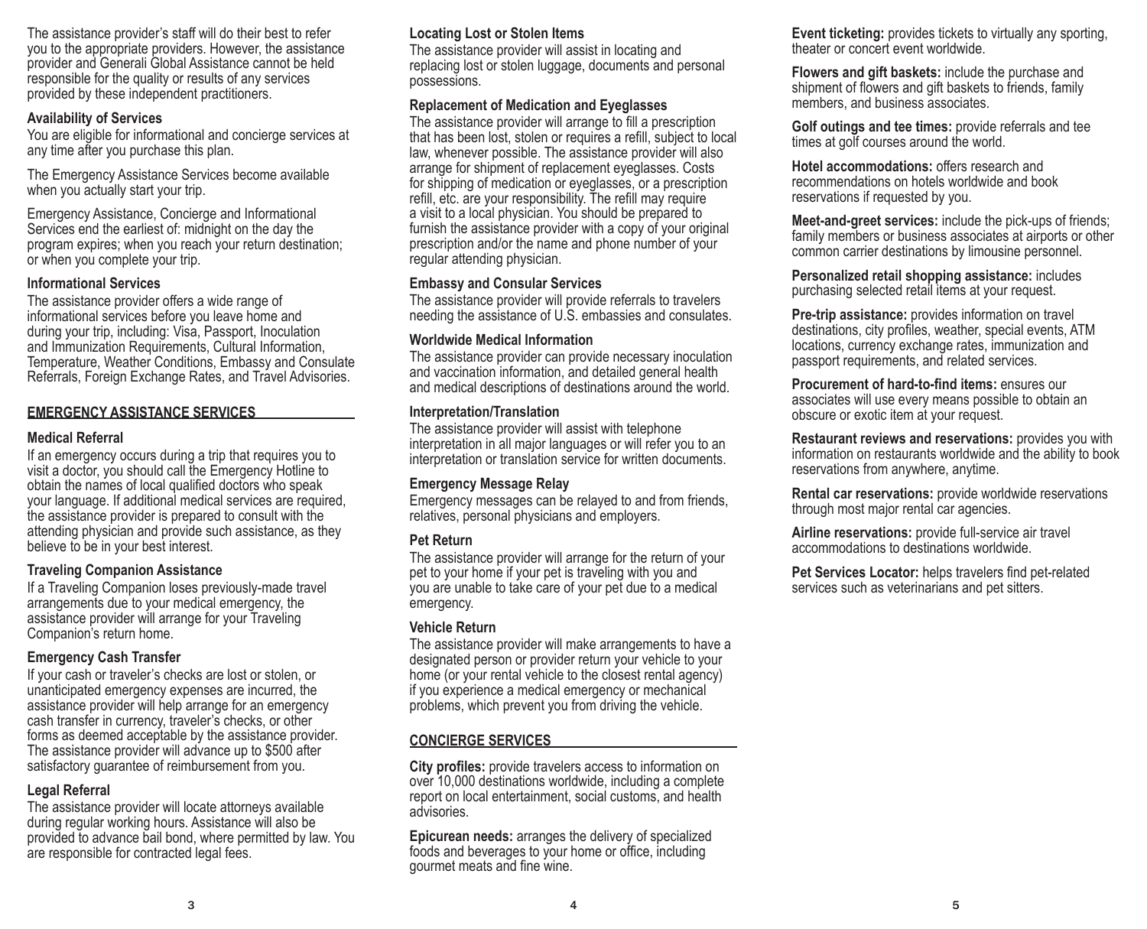The assistance provider's staff will do their best to refer you to the appropriate providers. However, the assistance provider and Generali Global Assistance cannot be held responsible for the quality or results of any services provided by these independent practitioners.

#### **Availability of Services**

You are eligible for informational and concierge services at any time after you purchase this plan.

The Emergency Assistance Services become available when you actually start your trip.

Emergency Assistance, Concierge and Informational Services end the earliest of: midnight on the day the program expires; when you reach your return destination; or when you complete your trip.

## **Informational Services**

The assistance provider offers a wide range of informational services before you leave home and during your trip, including: Visa, Passport, Inoculation and Immunization Requirements, Cultural Information, Temperature, Weather Conditions, Embassy and Consulate Referrals, Foreign Exchange Rates, and Travel Advisories.

#### **EMERGENCY ASSISTANCE SERVICES**

#### **Medical Referral**

If an emergency occurs during a trip that requires you to visit a doctor, you should call the Emergency Hotline to obtain the names of local qualified doctors who speak your language. If additional medical services are required, the assistance provider is prepared to consult with the attending physician and provide such assistance, as they believe to be in your best interest.

#### **Traveling Companion Assistance**

If a Traveling Companion loses previously-made travel arrangements due to your medical emergency, the assistance provider will arrange for your Traveling Companion's return home.

## **Emergency Cash Transfer**

If your cash or traveler's checks are lost or stolen, or unanticipated emergency expenses are incurred, the assistance provider will help arrange for an emergency cash transfer in currency, traveler's checks, or other forms as deemed acceptable by the assistance provider. The assistance provider will advance up to \$500 after satisfactory guarantee of reimbursement from you.

## **Legal Referral**

The assistance provider will locate attorneys available during regular working hours. Assistance will also be provided to advance bail bond, where permitted by law. You are responsible for contracted legal fees.

## **Locating Lost or Stolen Items**

The assistance provider will assist in locating and replacing lost or stolen luggage, documents and personal possessions.

## **Replacement of Medication and Eyeglasses**

The assistance provider will arrange to fill a prescription that has been lost, stolen or requires a refill, subject to local law, whenever possible. The assistance provider will also arrange for shipment of replacement eyeglasses. Costs for shipping of medication or eyeglasses, or a prescription refill, etc. are your responsibility. The refill may require a visit to a local physician. You should be prepared to furnish the assistance provider with a copy of your original prescription and/or the name and phone number of your regular attending physician.

#### **Embassy and Consular Services**

The assistance provider will provide referrals to travelers needing the assistance of U.S. embassies and consulates.

#### **Worldwide Medical Information**

The assistance provider can provide necessary inoculation and vaccination information, and detailed general health and medical descriptions of destinations around the world.

#### **Interpretation/Translation**

The assistance provider will assist with telephone interpretation in all major languages or will refer you to an interpretation or translation service for written documents.

#### **Emergency Message Relay**

Emergency messages can be relayed to and from friends, relatives, personal physicians and employers.

#### **Pet Return**

The assistance provider will arrange for the return of your pet to your home if your pet is traveling with you and you are unable to take care of your pet due to a medical emergency.

#### **Vehicle Return**

The assistance provider will make arrangements to have a designated person or provider return your vehicle to your home (or your rental vehicle to the closest rental agency) if you experience a medical emergency or mechanical problems, which prevent you from driving the vehicle.

## **CONCIERGE SERVICES**

**City profiles:** provide travelers access to information on over 10,000 destinations worldwide, including a complete report on local entertainment, social customs, and health advisories.

**Epicurean needs:** arranges the delivery of specialized foods and beverages to your home or office, including gourmet meats and fine wine.

**Event ticketing:** provides tickets to virtually any sporting, theater or concert event worldwide.

**Flowers and gift baskets:** include the purchase and shipment of flowers and gift baskets to friends, family members, and business associates.

**Golf outings and tee times:** provide referrals and tee times at golf courses around the world.

**Hotel accommodations:** offers research and recommendations on hotels worldwide and book reservations if requested by you.

**Meet-and-greet services:** include the pick-ups of friends; family members or business associates at airports or other common carrier destinations by limousine personnel.

**Personalized retail shopping assistance:** includes purchasing selected retail items at your request.

**Pre-trip assistance:** provides information on travel destinations, city profiles, weather, special events, ATM locations, currency exchange rates, immunization and passport requirements, and related services.

**Procurement of hard-to-find items:** ensures our associates will use every means possible to obtain an obscure or exotic item at your request.

**Restaurant reviews and reservations:** provides you with information on restaurants worldwide and the ability to book reservations from anywhere, anytime.

**Rental car reservations:** provide worldwide reservations through most major rental car agencies.

**Airline reservations:** provide full-service air travel accommodations to destinations worldwide.

**Pet Services Locator:** helps travelers find pet-related services such as veterinarians and pet sitters.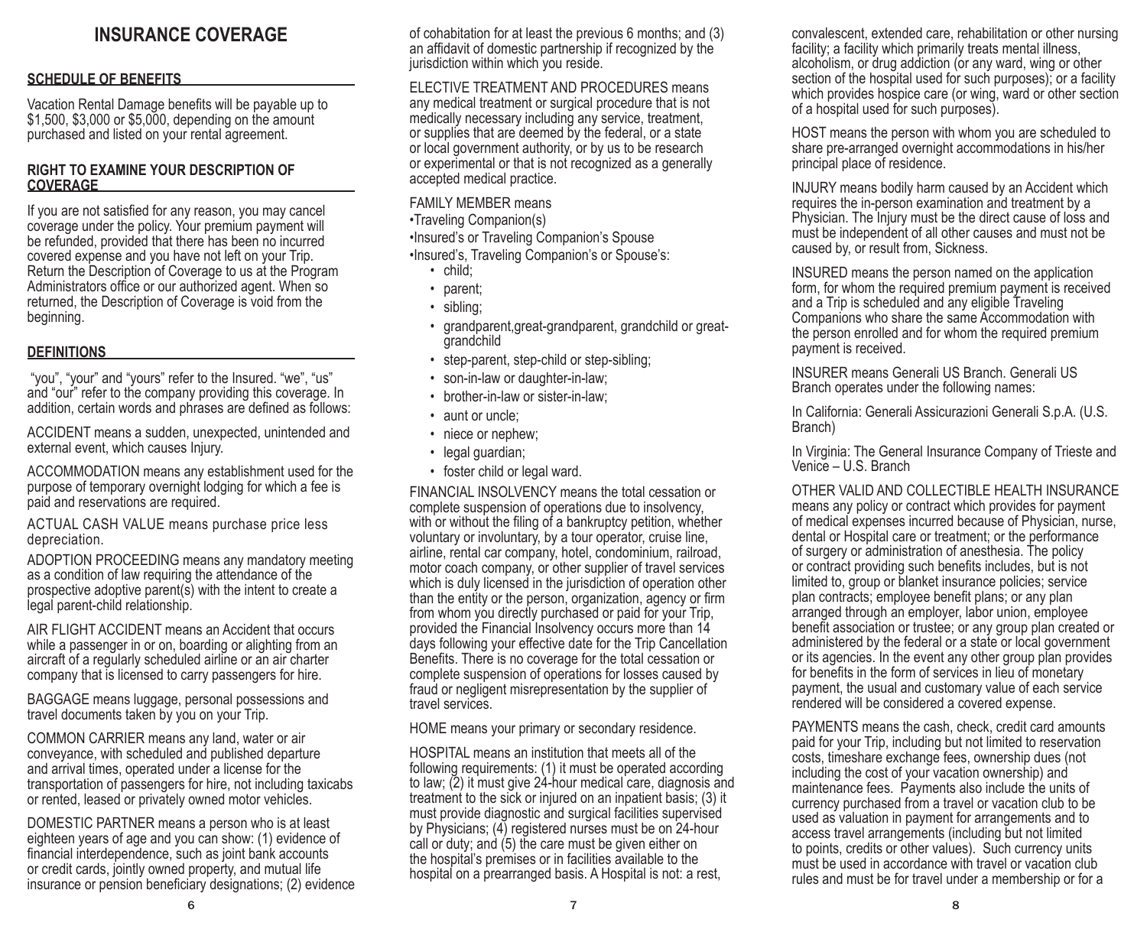## **INSURANCE COVERAGE**

### **SCHEDULE OF BENEFITS**

Vacation Rental Damage benefits will be payable up to \$1,500, \$3,000 or \$5,000, depending on the amount purchased and listed on your rental agreement.

#### **RIGHT TO EXAMINE YOUR DESCRIPTION OF COVERAGE**

If you are not satisfied for any reason, you may cancel coverage under the policy. Your premium payment will be refunded, provided that there has been no incurred covered expense and you have not left on your Trip. Return the Description of Coverage to us at the Program Administrators office or our authorized agent. When so returned, the Description of Coverage is void from the beginning.

#### **DEFINITIONS**

 "you", "your" and "yours" refer to the Insured. "we", "us" and "our" refer to the company providing this coverage. In addition, certain words and phrases are defined as follows:

ACCIDENT means a sudden, unexpected, unintended and external event, which causes Injury.

ACCOMMODATION means any establishment used for the purpose of temporary overnight lodging for which a fee is paid and reservations are required.

ACTUAL CASH VALUE means purchase price less depreciation.

ADOPTION PROCEEDING means any mandatory meeting as a condition of law requiring the attendance of the prospective adoptive parent(s) with the intent to create a legal parent-child relationship.

AIR FLIGHT ACCIDENT means an Accident that occurs while a passenger in or on, boarding or alighting from an aircraft of a regularly scheduled airline or an air charter company that is licensed to carry passengers for hire.

BAGGAGE means luggage, personal possessions and travel documents taken by you on your Trip.

COMMON CARRIER means any land, water or air conveyance, with scheduled and published departure and arrival times, operated under a license for the transportation of passengers for hire, not including taxicabs or rented, leased or privately owned motor vehicles.

DOMESTIC PARTNER means a person who is at least eighteen years of age and you can show: (1) evidence of financial interdependence, such as joint bank accounts or credit cards, jointly owned property, and mutual life insurance or pension beneficiary designations; (2) evidence of cohabitation for at least the previous 6 months; and (3) an affidavit of domestic partnership if recognized by the jurisdiction within which you reside.

ELECTIVE TREATMENT AND PROCEDURES means any medical treatment or surgical procedure that is not medically necessary including any service, treatment, or supplies that are deemed by the federal, or a state or local government authority, or by us to be research or experimental or that is not recognized as a generally accepted medical practice.

#### FAMILY MEMBER means

•Traveling Companion(s)

•Insured's or Traveling Companion's Spouse

•Insured's, Traveling Companion's or Spouse's:

- child;
- parent;
- sibling;
- grandparent,great-grandparent, grandchild or greatgrandchild
- step-parent, step-child or step-sibling;
- son-in-law or daughter-in-law;
- brother-in-law or sister-in-law;
- aunt or uncle;
- niece or nephew:
- legal guardian;
- foster child or legal ward.

FINANCIAL INSOLVENCY means the total cessation or complete suspension of operations due to insolvency, with or without the filing of a bankruptcy petition, whether voluntary or involuntary, by a tour operator, cruise line, airline, rental car company, hotel, condominium, railroad, motor coach company, or other supplier of travel services which is duly licensed in the jurisdiction of operation other than the entity or the person, organization, agency or firm from whom you directly purchased or paid for your Trip, provided the Financial Insolvency occurs more than 14 days following your effective date for the Trip Cancellation Benefits. There is no coverage for the total cessation or complete suspension of operations for losses caused by fraud or negligent misrepresentation by the supplier of travel services.

HOME means your primary or secondary residence.

HOSPITAL means an institution that meets all of the following requirements: (1) it must be operated according to law; (2) it must give 24-hour medical care, diagnosis and treatment to the sick or injured on an inpatient basis; (3) it must provide diagnostic and surgical facilities supervised by Physicians; (4) registered nurses must be on 24-hour call or duty; and (5) the care must be given either on the hospital's premises or in facilities available to the hospital on a prearranged basis. A Hospital is not: a rest,

convalescent, extended care, rehabilitation or other nursing facility; a facility which primarily treats mental illness, alcoholism, or drug addiction (or any ward, wing or other section of the hospital used for such purposes); or a facility which provides hospice care (or wing, ward or other section of a hospital used for such purposes).

HOST means the person with whom you are scheduled to share pre-arranged overnight accommodations in his/her principal place of residence.

INJURY means bodily harm caused by an Accident which requires the in-person examination and treatment by a Physician. The Injury must be the direct cause of loss and must be independent of all other causes and must not be caused by, or result from, Sickness.

INSURED means the person named on the application form, for whom the required premium payment is received and a Trip is scheduled and any eligible Traveling Companions who share the same Accommodation with the person enrolled and for whom the required premium payment is received.

INSURER means Generali US Branch. Generali US Branch operates under the following names:

In California: Generali Assicurazioni Generali S.p.A. (U.S. Branch)

In Virginia: The General Insurance Company of Trieste and Venice – U.S. Branch

OTHER VALID AND COLLECTIBLE HEALTH INSURANCE means any policy or contract which provides for payment of medical expenses incurred because of Physician, nurse, dental or Hospital care or treatment; or the performance of surgery or administration of anesthesia. The policy or contract providing such benefits includes, but is not limited to, group or blanket insurance policies; service plan contracts; employee benefit plans; or any plan arranged through an employer, labor union, employee benefit association or trustee; or any group plan created or administered by the federal or a state or local government or its agencies. In the event any other group plan provides for benefits in the form of services in lieu of monetary payment, the usual and customary value of each service rendered will be considered a covered expense.

PAYMENTS means the cash, check, credit card amounts paid for your Trip, including but not limited to reservation costs, timeshare exchange fees, ownership dues (not including the cost of your vacation ownership) and maintenance fees. Payments also include the units of currency purchased from a travel or vacation club to be used as valuation in payment for arrangements and to access travel arrangements (including but not limited to points, credits or other values). Such currency units must be used in accordance with travel or vacation club rules and must be for travel under a membership or for a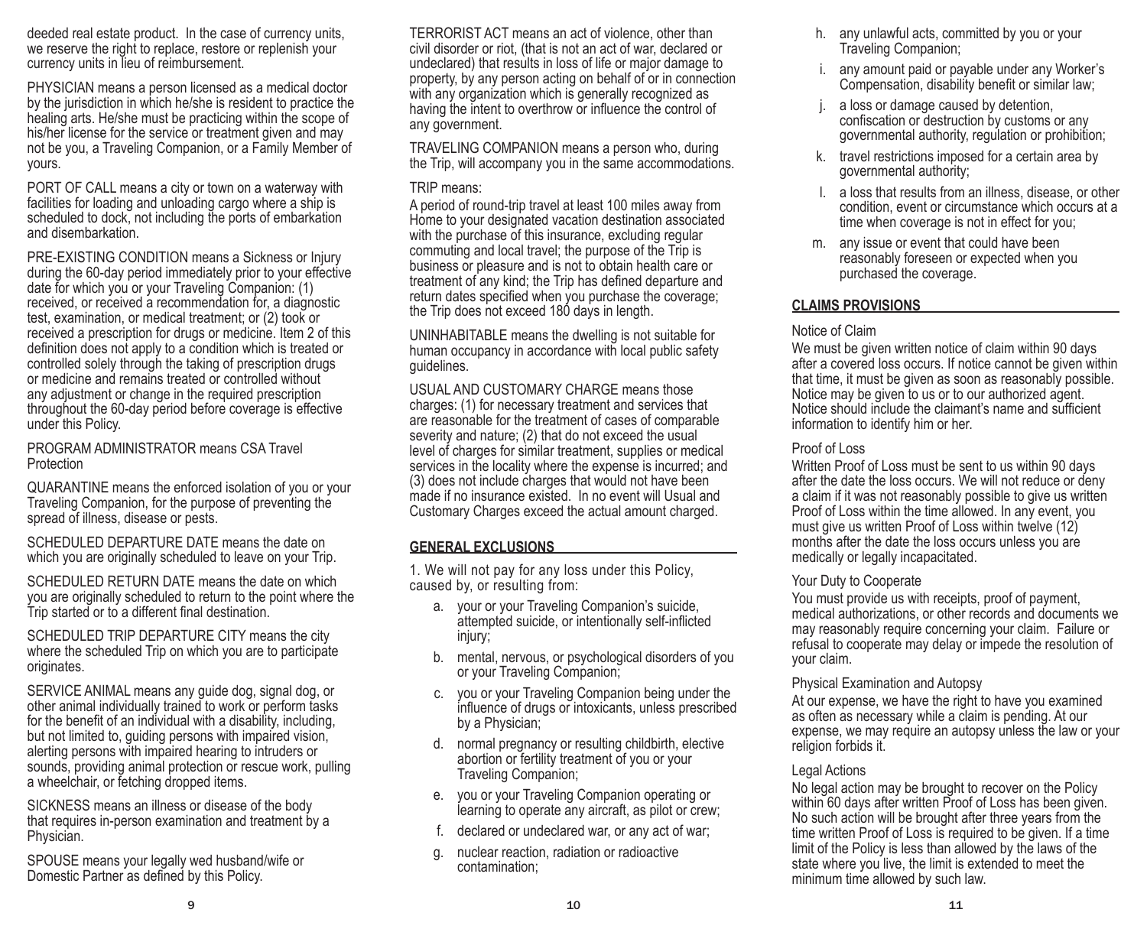deeded real estate product. In the case of currency units, we reserve the right to replace, restore or replenish your currency units in lieu of reimbursement.

PHYSICIAN means a person licensed as a medical doctor by the jurisdiction in which he/she is resident to practice the healing arts. He/she must be practicing within the scope of his/her license for the service or treatment given and may not be you, a Traveling Companion, or a Family Member of yours.

PORT OF CALL means a city or town on a waterway with facilities for loading and unloading cargo where a ship is scheduled to dock, not including the ports of embarkation and disembarkation.

PRE-EXISTING CONDITION means a Sickness or Injury during the 60-day period immediately prior to your effective date for which you or your Traveling Companion: (1) received, or received a recommendation for, a diagnostic test, examination, or medical treatment; or (2) took or received a prescription for drugs or medicine. Item 2 of this definition does not apply to a condition which is treated or controlled solely through the taking of prescription drugs or medicine and remains treated or controlled without any adjustment or change in the required prescription throughout the 60-day period before coverage is effective under this Policy.

#### PROGRAM ADMINISTRATOR means CSA Travel Protection

QUARANTINE means the enforced isolation of you or your Traveling Companion, for the purpose of preventing the spread of illness, disease or pests.

SCHEDULED DEPARTURE DATE means the date on which you are originally scheduled to leave on your Trip.

SCHEDULED RETURN DATE means the date on which you are originally scheduled to return to the point where the Trip started or to a different final destination.

SCHEDULED TRIP DEPARTURE CITY means the city where the scheduled Trip on which you are to participate originates.

SERVICE ANIMAL means any guide dog, signal dog, or other animal individually trained to work or perform tasks for the benefit of an individual with a disability, including, but not limited to, guiding persons with impaired vision, alerting persons with impaired hearing to intruders or sounds, providing animal protection or rescue work, pulling a wheelchair, or fetching dropped items.

SICKNESS means an illness or disease of the body that requires in-person examination and treatment by a Physician.

SPOUSE means your legally wed husband/wife or Domestic Partner as defined by this Policy.

TERRORIST ACT means an act of violence, other than civil disorder or riot, (that is not an act of war, declared or undeclared) that results in loss of life or major damage to property, by any person acting on behalf of or in connection with any organization which is generally recognized as having the intent to overthrow or influence the control of any government.

TRAVELING COMPANION means a person who, during the Trip, will accompany you in the same accommodations.

### TRIP means:

A period of round-trip travel at least 100 miles away from Home to your designated vacation destination associated with the purchase of this insurance, excluding regular commuting and local travel; the purpose of the Trip is business or pleasure and is not to obtain health care or treatment of any kind; the Trip has defined departure and return dates specified when you purchase the coverage; the Trip does not exceed 180 days in length.

UNINHABITABLE means the dwelling is not suitable for human occupancy in accordance with local public safety guidelines.

USUAL AND CUSTOMARY CHARGE means those charges: (1) for necessary treatment and services that are reasonable for the treatment of cases of comparable severity and nature; (2) that do not exceed the usual level of charges for similar treatment, supplies or medical services in the locality where the expense is incurred; and (3) does not include charges that would not have been made if no insurance existed. In no event will Usual and Customary Charges exceed the actual amount charged.

## **GENERAL EXCLUSIONS**

1. We will not pay for any loss under this Policy, caused by, or resulting from:

- a. your or your Traveling Companion's suicide, attempted suicide, or intentionally self-inflicted injury;
- b. mental, nervous, or psychological disorders of you or your Traveling Companion;
- c. you or your Traveling Companion being under the influence of drugs or intoxicants, unless prescribed by a Physician;
- d. normal pregnancy or resulting childbirth, elective abortion or fertility treatment of you or your Traveling Companion;
- e. you or your Traveling Companion operating or learning to operate any aircraft, as pilot or crew;
- f. declared or undeclared war, or any act of war;
- g. nuclear reaction, radiation or radioactive contamination;
- h. any unlawful acts, committed by you or your Traveling Companion;
- i. any amount paid or payable under any Worker's Compensation, disability benefit or similar law;
- a loss or damage caused by detention, confiscation or destruction by customs or any governmental authority, regulation or prohibition;
- k. travel restrictions imposed for a certain area by governmental authority;
- l. a loss that results from an illness, disease, or other condition, event or circumstance which occurs at a time when coverage is not in effect for you;
- m. any issue or event that could have been reasonably foreseen or expected when you purchased the coverage.

## **CLAIMS PROVISIONS**

## Notice of Claim

We must be given written notice of claim within 90 days after a covered loss occurs. If notice cannot be given within that time, it must be given as soon as reasonably possible. Notice may be given to us or to our authorized agent. Notice should include the claimant's name and sufficient information to identify him or her.

## Proof of Loss

Written Proof of Loss must be sent to us within 90 days after the date the loss occurs. We will not reduce or deny a claim if it was not reasonably possible to give us written Proof of Loss within the time allowed. In any event, you must give us written Proof of Loss within twelve (12) months after the date the loss occurs unless you are medically or legally incapacitated.

## Your Duty to Cooperate

You must provide us with receipts, proof of payment, medical authorizations, or other records and documents we may reasonably require concerning your claim. Failure or refusal to cooperate may delay or impede the resolution of your claim.

## Physical Examination and Autopsy

At our expense, we have the right to have you examined as often as necessary while a claim is pending. At our expense, we may require an autopsy unless the law or your religion forbids it.

## Legal Actions

No legal action may be brought to recover on the Policy within 60 days after written Proof of Loss has been given. No such action will be brought after three years from the time written Proof of Loss is required to be given. If a time limit of the Policy is less than allowed by the laws of the state where you live, the limit is extended to meet the minimum time allowed by such law.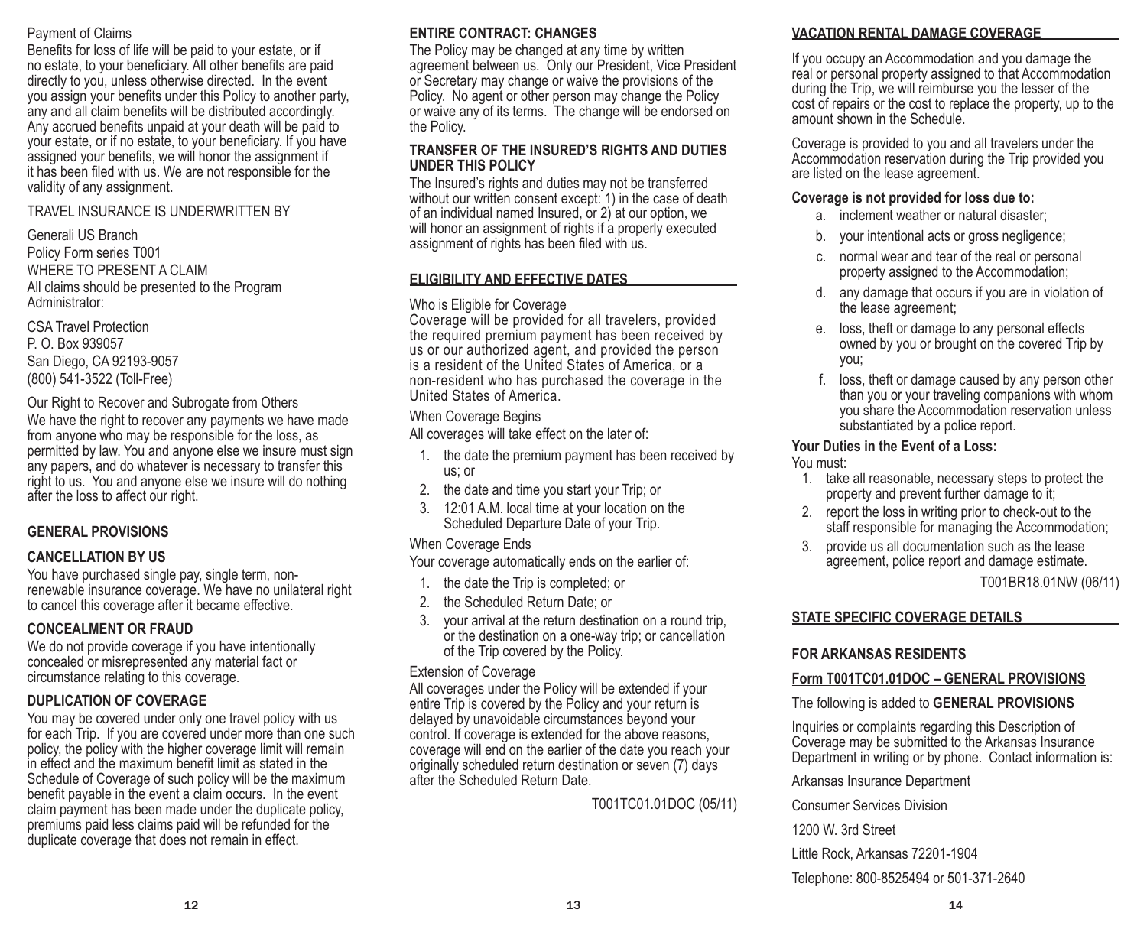## Payment of Claims

Benefits for loss of life will be paid to your estate, or if no estate, to your beneficiary. All other benefits are paid directly to you, unless otherwise directed. In the event you assign your benefits under this Policy to another party, any and all claim benefits will be distributed accordingly. Any accrued benefits unpaid at your death will be paid to your estate, or if no estate, to your beneficiary. If you have assigned your benefits, we will honor the assignment if it has been filed with us. We are not responsible for the validity of any assignment.

## TRAVEL INSURANCE IS UNDERWRITTEN BY

Generali US Branch Policy Form series T001 WHERE TO PRESENT A CLAIM All claims should be presented to the Program Administrator:

CSA Travel Protection P. O. Box 939057 San Diego, CA 92193-9057 (800) 541-3522 (Toll-Free)

Our Right to Recover and Subrogate from Others

We have the right to recover any payments we have made from anyone who may be responsible for the loss, as permitted by law. You and anyone else we insure must sign any papers, and do whatever is necessary to transfer this right to us. You and anyone else we insure will do nothing after the loss to affect our right.

## **GENERAL PROVISIONS**

## **CANCELLATION BY US**

You have purchased single pay, single term, nonrenewable insurance coverage. We have no unilateral right to cancel this coverage after it became effective.

## **CONCEALMENT OR FRAUD**

We do not provide coverage if you have intentionally concealed or misrepresented any material fact or circumstance relating to this coverage.

## **DUPLICATION OF COVERAGE**

You may be covered under only one travel policy with us for each Trip. If you are covered under more than one such policy, the policy with the higher coverage limit will remain in effect and the maximum benefit limit as stated in the Schedule of Coverage of such policy will be the maximum benefit payable in the event a claim occurs. In the event claim payment has been made under the duplicate policy, premiums paid less claims paid will be refunded for the duplicate coverage that does not remain in effect.

## **ENTIRE CONTRACT: CHANGES**

The Policy may be changed at any time by written agreement between us. Only our President, Vice President or Secretary may change or waive the provisions of the Policy. No agent or other person may change the Policy or waive any of its terms. The change will be endorsed on the Policy.

#### **TRANSFER OF THE INSURED'S RIGHTS AND DUTIES UNDER THIS POLICY**

The Insured's rights and duties may not be transferred without our written consent except: 1) in the case of death of an individual named Insured, or 2) at our option, we will honor an assignment of rights if a properly executed assignment of rights has been filed with us.

## **ELIGIBILITY AND EFFECTIVE DATES**

#### Who is Eligible for Coverage

Coverage will be provided for all travelers, provided the required premium payment has been received by us or our authorized agent, and provided the person is a resident of the United States of America, or a non-resident who has purchased the coverage in the United States of America.

## When Coverage Begins

All coverages will take effect on the later of:

- 1. the date the premium payment has been received by us; or
- 2. the date and time you start your Trip; or
- 3. 12:01 A.M. local time at your location on the Scheduled Departure Date of your Trip.

#### When Coverage Ends

Your coverage automatically ends on the earlier of:

- 1. the date the Trip is completed; or
- 2. the Scheduled Return Date; or
- 3. your arrival at the return destination on a round trip, or the destination on a one-way trip; or cancellation of the Trip covered by the Policy.

## Extension of Coverage

All coverages under the Policy will be extended if your entire Trip is covered by the Policy and your return is delayed by unavoidable circumstances beyond your control. If coverage is extended for the above reasons, coverage will end on the earlier of the date you reach your originally scheduled return destination or seven (7) days after the Scheduled Return Date.

T001TC01.01DOC (05/11)

## **VACATION RENTAL DAMAGE COVERAGE**

If you occupy an Accommodation and you damage the real or personal property assigned to that Accommodation during the Trip, we will reimburse you the lesser of the cost of repairs or the cost to replace the property, up to the amount shown in the Schedule.

Coverage is provided to you and all travelers under the Accommodation reservation during the Trip provided you are listed on the lease agreement.

#### **Coverage is not provided for loss due to:**

- a. inclement weather or natural disaster;
- b. your intentional acts or gross negligence;
- c. normal wear and tear of the real or personal property assigned to the Accommodation;
- d. any damage that occurs if you are in violation of the lease agreement;
- e. loss, theft or damage to any personal effects owned by you or brought on the covered Trip by you;
- f. loss, theft or damage caused by any person other than you or your traveling companions with whom you share the Accommodation reservation unless substantiated by a police report.

## **Your Duties in the Event of a Loss:**

## You must:

- 1. take all reasonable, necessary steps to protect the property and prevent further damage to it;
- 2. report the loss in writing prior to check-out to the staff responsible for managing the Accommodation;
- 3. provide us all documentation such as the lease agreement, police report and damage estimate.

T001BR18.01NW (06/11)

## **STATE SPECIFIC COVERAGE DETAILS**

## **FOR ARKANSAS RESIDENTS**

## **Form T001TC01.01DOC – GENERAL PROVISIONS**

The following is added to **GENERAL PROVISIONS**

Inquiries or complaints regarding this Description of Coverage may be submitted to the Arkansas Insurance Department in writing or by phone. Contact information is:

Arkansas Insurance Department

Consumer Services Division

1200 W. 3rd Street

Little Rock, Arkansas 72201-1904

Telephone: 800-8525494 or 501-371-2640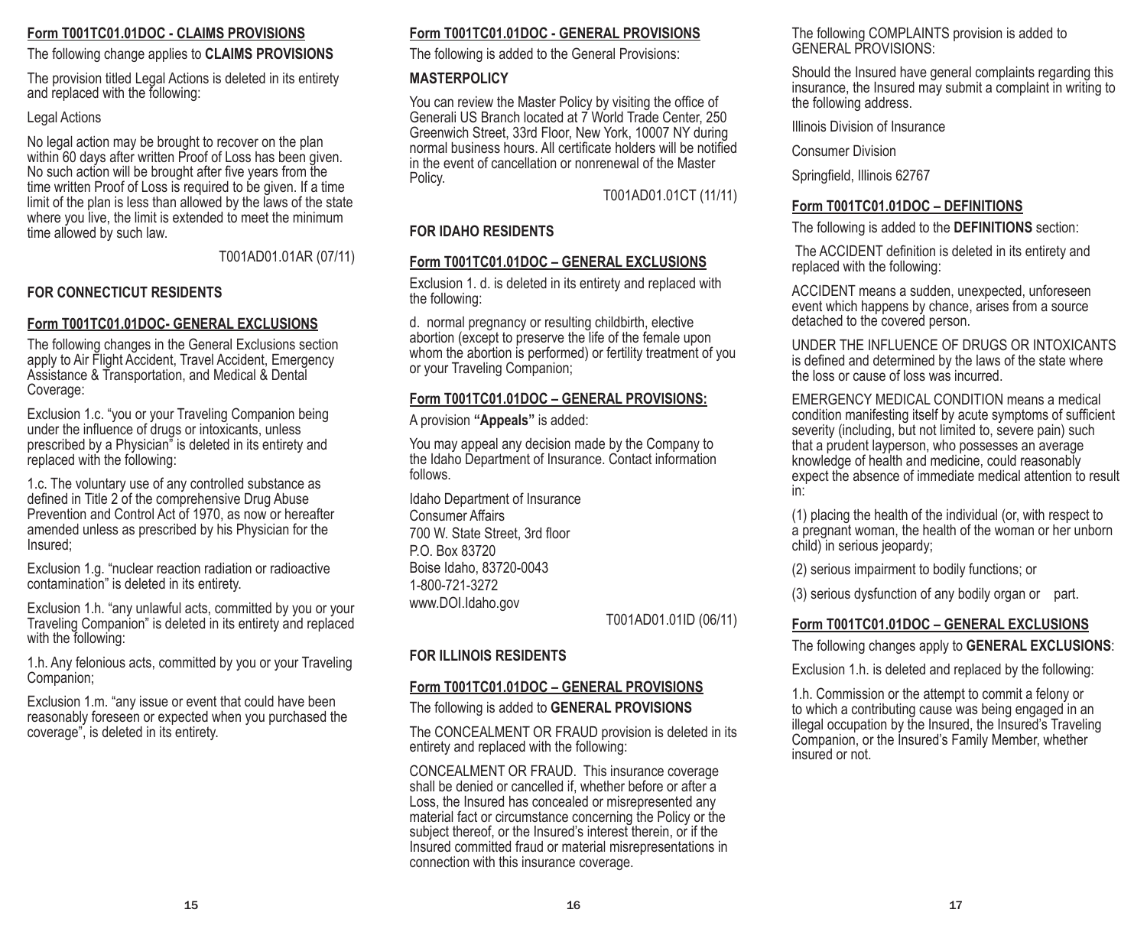## **Form T001TC01.01DOC - CLAIMS PROVISIONS**

The following change applies to **CLAIMS PROVISIONS**

The provision titled Legal Actions is deleted in its entirety and replaced with the following:

### Legal Actions

No legal action may be brought to recover on the plan within 60 days after written Proof of Loss has been given. No such action will be brought after five years from the time written Proof of Loss is required to be given. If a time limit of the plan is less than allowed by the laws of the state where you live, the limit is extended to meet the minimum time allowed by such law.

T001AD01.01AR (07/11)

## **FOR CONNECTICUT RESIDENTS**

## **Form T001TC01.01DOC- GENERAL EXCLUSIONS**

The following changes in the General Exclusions section apply to Air Flight Accident, Travel Accident, Emergency Assistance & Transportation, and Medical & Dental Coverage:

Exclusion 1.c. "you or your Traveling Companion being under the influence of drugs or intoxicants, unless prescribed by a Physician" is deleted in its entirety and replaced with the following:

1.c. The voluntary use of any controlled substance as defined in Title 2 of the comprehensive Drug Abuse Prevention and Control Act of 1970, as now or hereafter amended unless as prescribed by his Physician for the Insured;

Exclusion 1.g. "nuclear reaction radiation or radioactive contamination" is deleted in its entirety.

Exclusion 1.h. "any unlawful acts, committed by you or your Traveling Companion" is deleted in its entirety and replaced with the following:

1.h. Any felonious acts, committed by you or your Traveling Companion;

Exclusion 1.m. "any issue or event that could have been reasonably foreseen or expected when you purchased the coverage", is deleted in its entirety.

## **Form T001TC01.01DOC - GENERAL PROVISIONS**

The following is added to the General Provisions:

## **MASTERPOLICY**

You can review the Master Policy by visiting the office of Generali US Branch located at 7 World Trade Center, 250 Greenwich Street, 33rd Floor, New York, 10007 NY during normal business hours. All certificate holders will be notified in the event of cancellation or nonrenewal of the Master Policy.

T001AD01.01CT (11/11)

## **FOR IDAHO RESIDENTS**

## **Form T001TC01.01DOC – GENERAL EXCLUSIONS**

Exclusion 1. d. is deleted in its entirety and replaced with the following:

d. normal pregnancy or resulting childbirth, elective abortion (except to preserve the life of the female upon whom the abortion is performed) or fertility treatment of you or your Traveling Companion;

## **Form T001TC01.01DOC – GENERAL PROVISIONS:**

A provision **"Appeals"** is added:

You may appeal any decision made by the Company to the Idaho Department of Insurance. Contact information follows.

Idaho Department of Insurance Consumer Affairs 700 W. State Street, 3rd floor P.O. Box 83720 Boise Idaho, 83720-0043 1-800-721-3272 www.DOI.Idaho.gov

T001AD01.01ID (06/11)

## **FOR ILLINOIS RESIDENTS**

## **Form T001TC01.01DOC – GENERAL PROVISIONS**

The following is added to **GENERAL PROVISIONS**

The CONCEALMENT OR FRAUD provision is deleted in its entirety and replaced with the following:

CONCEALMENT OR FRAUD. This insurance coverage shall be denied or cancelled if, whether before or after a Loss, the Insured has concealed or misrepresented any material fact or circumstance concerning the Policy or the subject thereof, or the Insured's interest therein, or if the Insured committed fraud or material misrepresentations in connection with this insurance coverage.

The following COMPLAINTS provision is added to GENERAL PROVISIONS:

Should the Insured have general complaints regarding this insurance, the Insured may submit a complaint in writing to the following address.

Illinois Division of Insurance

Consumer Division

Springfield, Illinois 62767

## **Form T001TC01.01DOC – DEFINITIONS**

The following is added to the **DEFINITIONS** section:

 The ACCIDENT definition is deleted in its entirety and replaced with the following:

ACCIDENT means a sudden, unexpected, unforeseen event which happens by chance, arises from a source detached to the covered person.

UNDER THE INFLUENCE OF DRUGS OR INTOXICANTS is defined and determined by the laws of the state where the loss or cause of loss was incurred.

EMERGENCY MEDICAL CONDITION means a medical condition manifesting itself by acute symptoms of sufficient severity (including, but not limited to, severe pain) such that a prudent layperson, who possesses an average knowledge of health and medicine, could reasonably expect the absence of immediate medical attention to result in:

(1) placing the health of the individual (or, with respect to a pregnant woman, the health of the woman or her unborn child) in serious jeopardy;

(2) serious impairment to bodily functions; or

(3) serious dysfunction of any bodily organ or part.

## **Form T001TC01.01DOC – GENERAL EXCLUSIONS**

The following changes apply to **GENERAL EXCLUSIONS**:

Exclusion 1.h. is deleted and replaced by the following:

1.h. Commission or the attempt to commit a felony or to which a contributing cause was being engaged in an illegal occupation by the Insured, the Insured's Traveling Companion, or the Insured's Family Member, whether insured or not.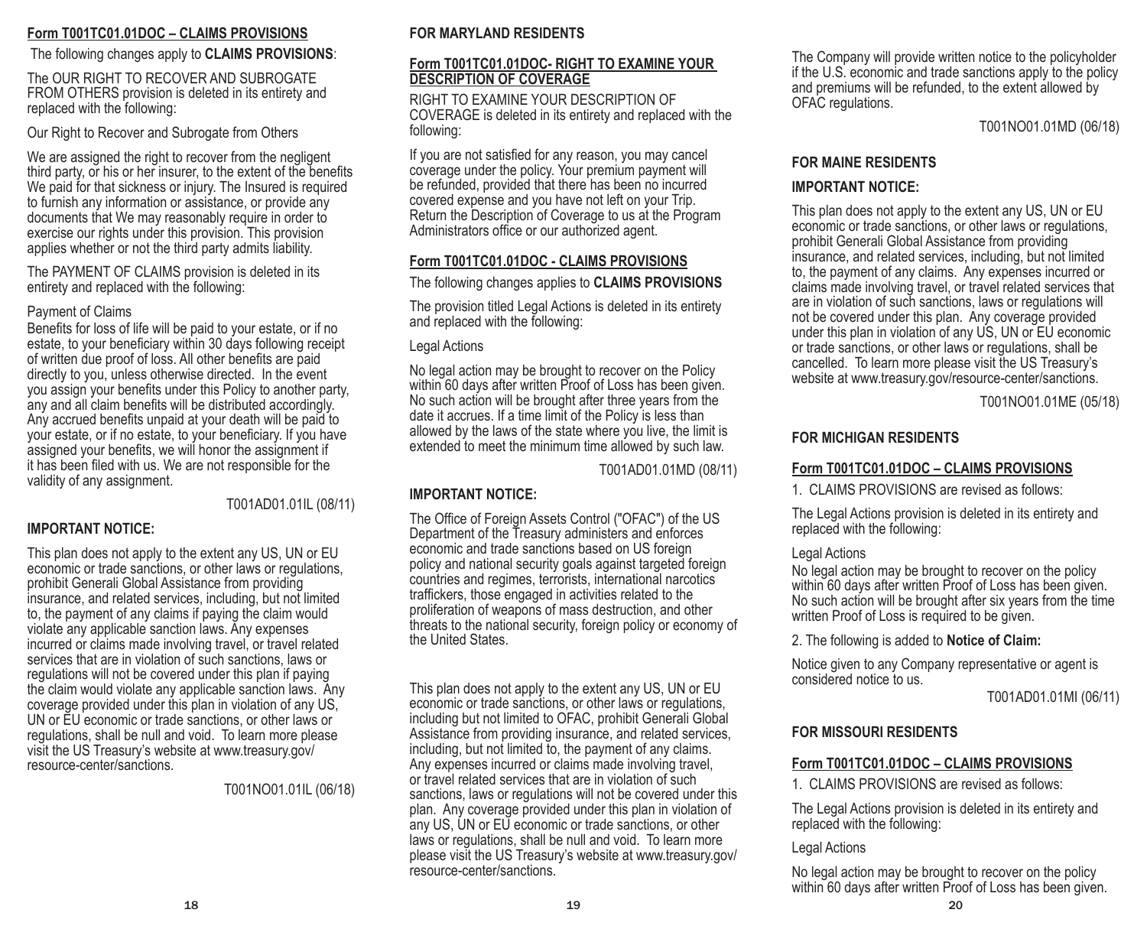## **Form T001TC01.01DOC – CLAIMS PROVISIONS**

#### The following changes apply to **CLAIMS PROVISIONS**:

The OUR RIGHT TO RECOVER AND SUBROGATE FROM OTHERS provision is deleted in its entirety and replaced with the following:

Our Right to Recover and Subrogate from Others

We are assigned the right to recover from the negligent third party, or his or her insurer, to the extent of the benefits We paid for that sickness or injury. The Insured is required to furnish any information or assistance, or provide any documents that We may reasonably require in order to exercise our rights under this provision. This provision applies whether or not the third party admits liability.

The PAYMENT OF CLAIMS provision is deleted in its entirety and replaced with the following:

#### Payment of Claims

Benefits for loss of life will be paid to your estate, or if no estate, to your beneficiary within 30 days following receipt of written due proof of loss. All other benefits are paid directly to you, unless otherwise directed. In the event you assign your benefits under this Policy to another party, any and all claim benefits will be distributed accordingly. Any accrued benefits unpaid at your death will be paid to your estate, or if no estate, to your beneficiary. If you have assigned your benefits, we will honor the assignment if it has been filed with us. We are not responsible for the validity of any assignment.

T001AD01.01IL (08/11)

#### **IMPORTANT NOTICE:**

This plan does not apply to the extent any US, UN or EU economic or trade sanctions, or other laws or regulations, prohibit Generali Global Assistance from providing insurance, and related services, including, but not limited to, the payment of any claims if paying the claim would violate any applicable sanction laws. Any expenses incurred or claims made involving travel, or travel related services that are in violation of such sanctions, laws or regulations will not be covered under this plan if paying the claim would violate any applicable sanction laws. Any coverage provided under this plan in violation of any US, UN or EU economic or trade sanctions, or other laws or regulations, shall be null and void. To learn more please visit the US Treasury's website at www.treasury.gov/ resource-center/sanctions.

T001NO01.01IL (06/18)

#### **FOR MARYLAND RESIDENTS**

#### **Form T001TC01.01DOC- RIGHT TO EXAMINE YOUR DESCRIPTION OF COVERAGE**

RIGHT TO EXAMINE YOUR DESCRIPTION OF COVERAGE is deleted in its entirety and replaced with the following:

If you are not satisfied for any reason, you may cancel coverage under the policy. Your premium payment will be refunded, provided that there has been no incurred covered expense and you have not left on your Trip. Return the Description of Coverage to us at the Program Administrators office or our authorized agent.

## **Form T001TC01.01DOC - CLAIMS PROVISIONS**

The following changes applies to **CLAIMS PROVISIONS**

The provision titled Legal Actions is deleted in its entirety and replaced with the following:

#### Legal Actions

No legal action may be brought to recover on the Policy within 60 days after written Proof of Loss has been given. No such action will be brought after three years from the date it accrues. If a time limit of the Policy is less than allowed by the laws of the state where you live, the limit is extended to meet the minimum time allowed by such law.

T001AD01.01MD (08/11)

## **IMPORTANT NOTICE:**

The Office of Foreign Assets Control ("OFAC") of the US Department of the Treasury administers and enforces economic and trade sanctions based on US foreign policy and national security goals against targeted foreign countries and regimes, terrorists, international narcotics traffickers, those engaged in activities related to the proliferation of weapons of mass destruction, and other threats to the national security, foreign policy or economy of the United States.

This plan does not apply to the extent any US, UN or EU economic or trade sanctions, or other laws or regulations, including but not limited to OFAC, prohibit Generali Global Assistance from providing insurance, and related services, including, but not limited to, the payment of any claims. Any expenses incurred or claims made involving travel, or travel related services that are in violation of such sanctions, laws or regulations will not be covered under this plan. Any coverage provided under this plan in violation of any US, UN or EU economic or trade sanctions, or other laws or regulations, shall be null and void. To learn more please visit the US Treasury's website at www.treasury.gov/ resource-center/sanctions.

The Company will provide written notice to the policyholder if the U.S. economic and trade sanctions apply to the policy and premiums will be refunded, to the extent allowed by OFAC regulations.

T001NO01.01MD (06/18)

#### **FOR MAINE RESIDENTS**

## **IMPORTANT NOTICE:**

This plan does not apply to the extent any US, UN or EU economic or trade sanctions, or other laws or regulations, prohibit Generali Global Assistance from providing insurance, and related services, including, but not limited to, the payment of any claims. Any expenses incurred or claims made involving travel, or travel related services that are in violation of such sanctions, laws or regulations will not be covered under this plan. Any coverage provided under this plan in violation of any US, UN or EU economic or trade sanctions, or other laws or regulations, shall be cancelled. To learn more please visit the US Treasury's website at www.treasury.gov/resource-center/sanctions.

T001NO01.01ME (05/18)

## **FOR MICHIGAN RESIDENTS**

## **Form T001TC01.01DOC – CLAIMS PROVISIONS**

1. CLAIMS PROVISIONS are revised as follows:

The Legal Actions provision is deleted in its entirety and replaced with the following:

#### Legal Actions

No legal action may be brought to recover on the policy within 60 days after written Proof of Loss has been given. No such action will be brought after six years from the time written Proof of Loss is required to be given.

2. The following is added to **Notice of Claim:**

Notice given to any Company representative or agent is considered notice to us.

T001AD01.01MI (06/11)

## **FOR MISSOURI RESIDENTS**

## **Form T001TC01.01DOC – CLAIMS PROVISIONS**

1. CLAIMS PROVISIONS are revised as follows:

The Legal Actions provision is deleted in its entirety and replaced with the following:

Legal Actions

No legal action may be brought to recover on the policy within 60 days after written Proof of Loss has been given.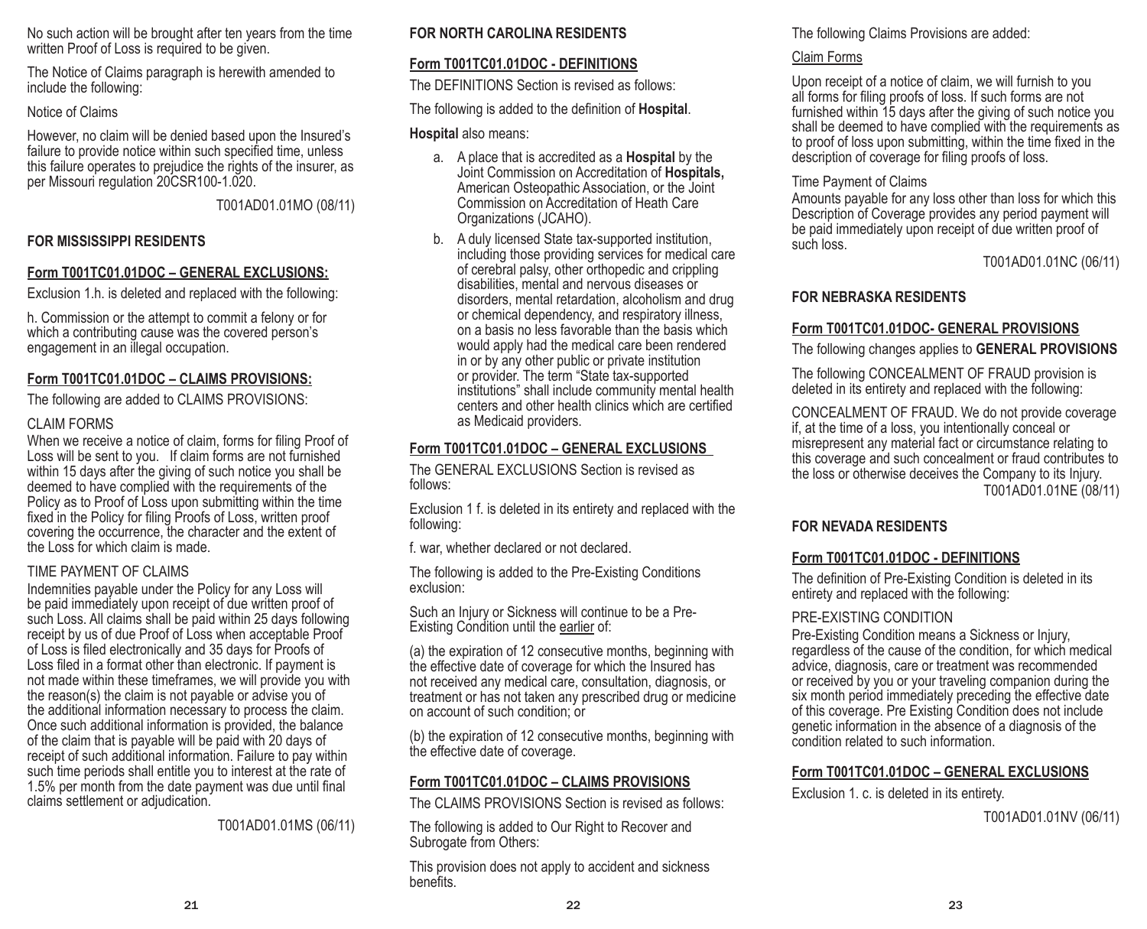No such action will be brought after ten years from the time written Proof of Loss is required to be given.

The Notice of Claims paragraph is herewith amended to include the following:

#### Notice of Claims

However, no claim will be denied based upon the Insured's failure to provide notice within such specified time, unless this failure operates to prejudice the rights of the insurer, as per Missouri regulation 20CSR100-1.020.

T001AD01.01MO (08/11)

## **FOR MISSISSIPPI RESIDENTS**

## **Form T001TC01.01DOC – GENERAL EXCLUSIONS:**

Exclusion 1.h. is deleted and replaced with the following:

h. Commission or the attempt to commit a felony or for which a contributing cause was the covered person's engagement in an illegal occupation.

## **Form T001TC01.01DOC – CLAIMS PROVISIONS:**

The following are added to CLAIMS PROVISIONS:

## CLAIM FORMS

When we receive a notice of claim, forms for filing Proof of Loss will be sent to you. If claim forms are not furnished within 15 days after the giving of such notice you shall be deemed to have complied with the requirements of the Policy as to Proof of Loss upon submitting within the time fixed in the Policy for filing Proofs of Loss, written proof covering the occurrence, the character and the extent of the Loss for which claim is made.

## TIME PAYMENT OF CLAIMS

Indemnities payable under the Policy for any Loss will be paid immediately upon receipt of due written proof of such Loss. All claims shall be paid within 25 days following receipt by us of due Proof of Loss when acceptable Proof of Loss is filed electronically and 35 days for Proofs of Loss filed in a format other than electronic. If payment is not made within these timeframes, we will provide you with the reason(s) the claim is not payable or advise you of the additional information necessary to process the claim. Once such additional information is provided, the balance of the claim that is payable will be paid with 20 days of receipt of such additional information. Failure to pay within such time periods shall entitle you to interest at the rate of 1.5% per month from the date payment was due until final claims settlement or adjudication.

T001AD01.01MS (06/11)

## **FOR NORTH CAROLINA RESIDENTS**

## **Form T001TC01.01DOC - DEFINITIONS**

The DEFINITIONS Section is revised as follows:

The following is added to the definition of **Hospital**.

### **Hospital** also means:

- a. A place that is accredited as a **Hospital** by the Joint Commission on Accreditation of **Hospitals,** American Osteopathic Association, or the Joint Commission on Accreditation of Heath Care Organizations (JCAHO).
- b. A duly licensed State tax-supported institution, including those providing services for medical care of cerebral palsy, other orthopedic and crippling disabilities, mental and nervous diseases or disorders, mental retardation, alcoholism and drug or chemical dependency, and respiratory illness, on a basis no less favorable than the basis which would apply had the medical care been rendered in or by any other public or private institution or provider. The term "State tax-supported institutions" shall include community mental health centers and other health clinics which are certified as Medicaid providers.

## **Form T001TC01.01DOC – GENERAL EXCLUSIONS**

The GENERAL EXCLUSIONS Section is revised as follows:

Exclusion 1 f. is deleted in its entirety and replaced with the following:

f. war, whether declared or not declared.

The following is added to the Pre-Existing Conditions exclusion:

Such an Injury or Sickness will continue to be a Pre-Existing Condition until the earlier of:

(a) the expiration of 12 consecutive months, beginning with the effective date of coverage for which the Insured has not received any medical care, consultation, diagnosis, or treatment or has not taken any prescribed drug or medicine on account of such condition; or

(b) the expiration of 12 consecutive months, beginning with the effective date of coverage.

## **Form T001TC01.01DOC – CLAIMS PROVISIONS**

The CLAIMS PROVISIONS Section is revised as follows:

The following is added to Our Right to Recover and Subrogate from Others:

This provision does not apply to accident and sickness benefits.

The following Claims Provisions are added:

## Claim Forms

Upon receipt of a notice of claim, we will furnish to you all forms for filing proofs of loss. If such forms are not furnished within 15 days after the giving of such notice you shall be deemed to have complied with the requirements as to proof of loss upon submitting, within the time fixed in the description of coverage for filing proofs of loss.

#### Time Payment of Claims

Amounts payable for any loss other than loss for which this Description of Coverage provides any period payment will be paid immediately upon receipt of due written proof of such loss.

T001AD01.01NC (06/11)

## **FOR NEBRASKA RESIDENTS**

## **Form T001TC01.01DOC- GENERAL PROVISIONS**

The following changes applies to **GENERAL PROVISIONS**

The following CONCEALMENT OF FRAUD provision is deleted in its entirety and replaced with the following:

CONCEALMENT OF FRAUD. We do not provide coverage if, at the time of a loss, you intentionally conceal or misrepresent any material fact or circumstance relating to this coverage and such concealment or fraud contributes to the loss or otherwise deceives the Company to its Injury. T001AD01.01NE (08/11)

## **FOR NEVADA RESIDENTS**

## **Form T001TC01.01DOC - DEFINITIONS**

The definition of Pre-Existing Condition is deleted in its entirety and replaced with the following:

## PRE-EXISTING CONDITION

Pre-Existing Condition means a Sickness or Injury, regardless of the cause of the condition, for which medical advice, diagnosis, care or treatment was recommended or received by you or your traveling companion during the six month period immediately preceding the effective date of this coverage. Pre Existing Condition does not include genetic information in the absence of a diagnosis of the condition related to such information.

## **Form T001TC01.01DOC – GENERAL EXCLUSIONS**

Exclusion 1. c. is deleted in its entirety.

T001AD01.01NV (06/11)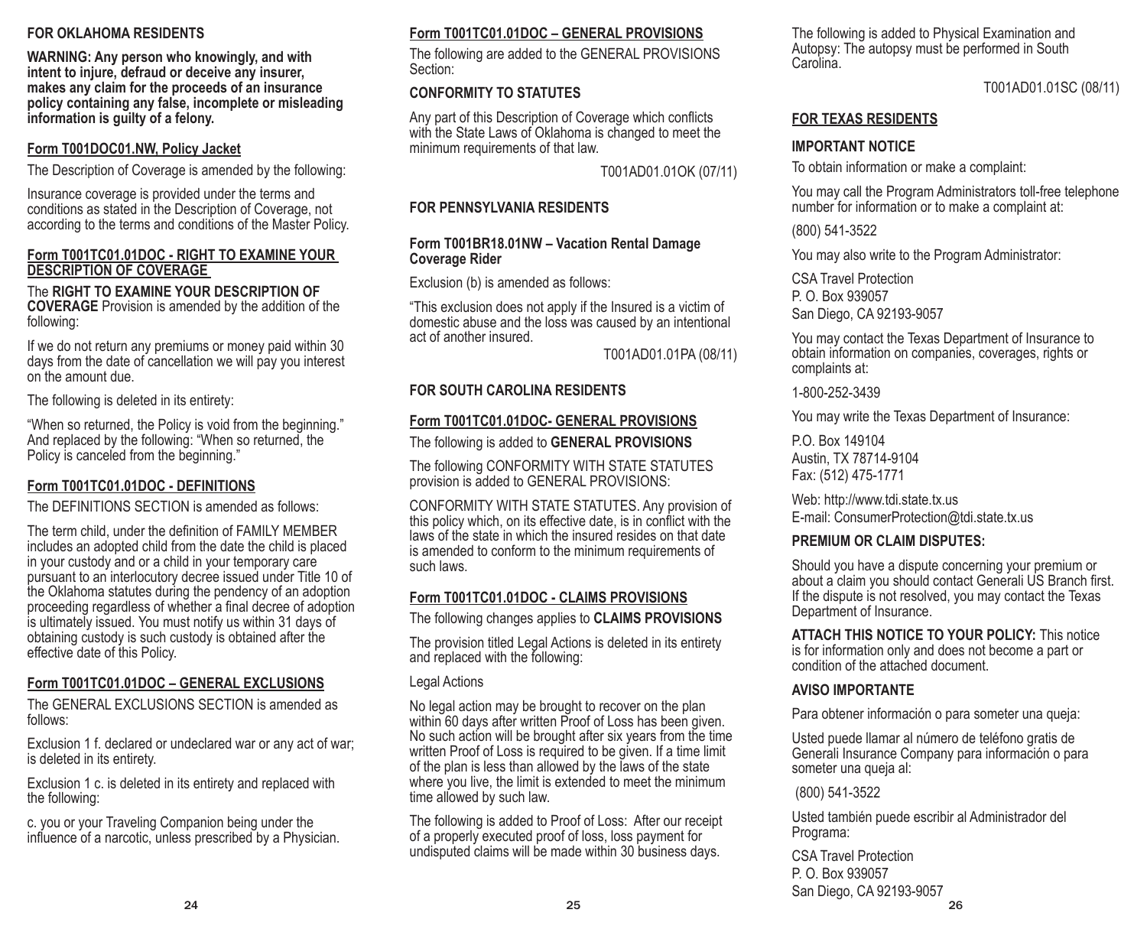## **FOR OKLAHOMA RESIDENTS**

**WARNING: Any person who knowingly, and with intent to injure, defraud or deceive any insurer, makes any claim for the proceeds of an insurance policy containing any false, incomplete or misleading information is guilty of a felony.**

## **Form T001DOC01.NW, Policy Jacket**

The Description of Coverage is amended by the following:

Insurance coverage is provided under the terms and conditions as stated in the Description of Coverage, not according to the terms and conditions of the Master Policy.

#### **Form T001TC01.01DOC - RIGHT TO EXAMINE YOUR DESCRIPTION OF COVERAGE**

#### The **RIGHT TO EXAMINE YOUR DESCRIPTION OF COVERAGE** Provision is amended by the addition of the following:

If we do not return any premiums or money paid within 30 days from the date of cancellation we will pay you interest on the amount due.

The following is deleted in its entirety:

"When so returned, the Policy is void from the beginning." And replaced by the following: "When so returned, the Policy is canceled from the beginning."

## **Form T001TC01.01DOC - DEFINITIONS**

The DEFINITIONS SECTION is amended as follows:

The term child, under the definition of FAMILY MEMBER includes an adopted child from the date the child is placed in your custody and or a child in your temporary care pursuant to an interlocutory decree issued under Title 10 of the Oklahoma statutes during the pendency of an adoption proceeding regardless of whether a final decree of adoption is ultimately issued. You must notify us within 31 days of obtaining custody is such custody is obtained after the effective date of this Policy.

## **Form T001TC01.01DOC – GENERAL EXCLUSIONS**

The GENERAL EXCLUSIONS SECTION is amended as follows:

Exclusion 1 f. declared or undeclared war or any act of war; is deleted in its entirety.

Exclusion 1 c. is deleted in its entirety and replaced with the following:

c. you or your Traveling Companion being under the influence of a narcotic, unless prescribed by a Physician.

## **Form T001TC01.01DOC – GENERAL PROVISIONS**

The following are added to the GENERAL PROVISIONS Section:

## **CONFORMITY TO STATUTES**

Any part of this Description of Coverage which conflicts with the State Laws of Oklahoma is changed to meet the minimum requirements of that law.

T001AD01.01OK (07/11)

## **FOR PENNSYLVANIA RESIDENTS**

#### **Form T001BR18.01NW – Vacation Rental Damage Coverage Rider**

Exclusion (b) is amended as follows:

"This exclusion does not apply if the Insured is a victim of domestic abuse and the loss was caused by an intentional act of another insured.

T001AD01.01PA (08/11)

## **FOR SOUTH CAROLINA RESIDENTS**

## **Form T001TC01.01DOC- GENERAL PROVISIONS**

The following is added to **GENERAL PROVISIONS**

The following CONFORMITY WITH STATE STATUTES provision is added to GENERAL PROVISIONS:

CONFORMITY WITH STATE STATUTES. Any provision of this policy which, on its effective date, is in conflict with the laws of the state in which the insured resides on that date is amended to conform to the minimum requirements of such laws.

## **Form T001TC01.01DOC - CLAIMS PROVISIONS**

The following changes applies to **CLAIMS PROVISIONS**

The provision titled Legal Actions is deleted in its entirety and replaced with the following:

Legal Actions

No legal action may be brought to recover on the plan within 60 days after written Proof of Loss has been given. No such action will be brought after six years from the time written Proof of Loss is required to be given. If a time limit of the plan is less than allowed by the laws of the state where you live, the limit is extended to meet the minimum time allowed by such law.

The following is added to Proof of Loss: After our receipt of a properly executed proof of loss, loss payment for undisputed claims will be made within 30 business days.

The following is added to Physical Examination and Autopsy: The autopsy must be performed in South Carolina.

T001AD01.01SC (08/11)

## **FOR TEXAS RESIDENTS**

## **IMPORTANT NOTICE**

To obtain information or make a complaint:

You may call the Program Administrators toll-free telephone number for information or to make a complaint at:

(800) 541-3522

You may also write to the Program Administrator:

CSA Travel Protection P. O. Box 939057 San Diego, CA 92193-9057

You may contact the Texas Department of Insurance to obtain information on companies, coverages, rights or complaints at:

1-800-252-3439

You may write the Texas Department of Insurance:

P.O. Box 149104 Austin, TX 78714-9104 Fax: (512) 475-1771

Web: http://www.tdi.state.tx.us E-mail: ConsumerProtection@tdi.state.tx.us

## **PREMIUM OR CLAIM DISPUTES:**

Should you have a dispute concerning your premium or about a claim you should contact Generali US Branch first. If the dispute is not resolved, you may contact the Texas Department of Insurance.

**ATTACH THIS NOTICE TO YOUR POLICY:** This notice is for information only and does not become a part or condition of the attached document.

## **AVISO IMPORTANTE**

Para obtener información o para someter una queja:

Usted puede llamar al número de teléfono gratis de Generali Insurance Company para información o para someter una queja al:

(800) 541-3522

Usted también puede escribir al Administrador del Programa:

24 25 26 CSA Travel Protection P. O. Box 939057 San Diego, CA 92193-9057